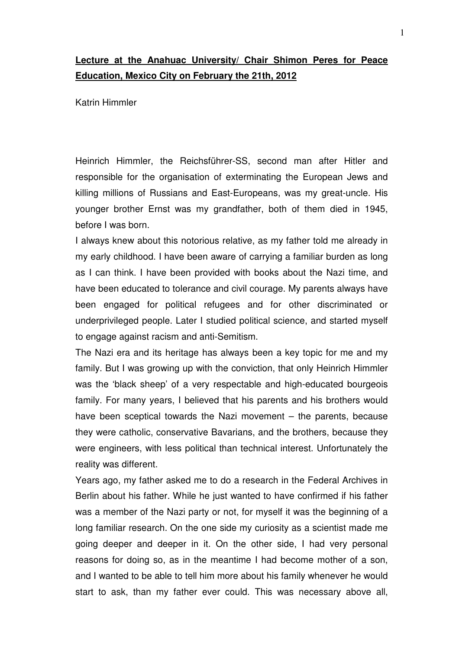## **Lecture at the Anahuac University/ Chair Shimon Peres for Peace Education, Mexico City on February the 21th, 2012**

Katrin Himmler

Heinrich Himmler, the Reichsführer-SS, second man after Hitler and responsible for the organisation of exterminating the European Jews and killing millions of Russians and East-Europeans, was my great-uncle. His younger brother Ernst was my grandfather, both of them died in 1945, before I was born.

I always knew about this notorious relative, as my father told me already in my early childhood. I have been aware of carrying a familiar burden as long as I can think. I have been provided with books about the Nazi time, and have been educated to tolerance and civil courage. My parents always have been engaged for political refugees and for other discriminated or underprivileged people. Later I studied political science, and started myself to engage against racism and anti-Semitism.

The Nazi era and its heritage has always been a key topic for me and my family. But I was growing up with the conviction, that only Heinrich Himmler was the 'black sheep' of a very respectable and high-educated bourgeois family. For many years, I believed that his parents and his brothers would have been sceptical towards the Nazi movement – the parents, because they were catholic, conservative Bavarians, and the brothers, because they were engineers, with less political than technical interest. Unfortunately the reality was different.

Years ago, my father asked me to do a research in the Federal Archives in Berlin about his father. While he just wanted to have confirmed if his father was a member of the Nazi party or not, for myself it was the beginning of a long familiar research. On the one side my curiosity as a scientist made me going deeper and deeper in it. On the other side, I had very personal reasons for doing so, as in the meantime I had become mother of a son, and I wanted to be able to tell him more about his family whenever he would start to ask, than my father ever could. This was necessary above all,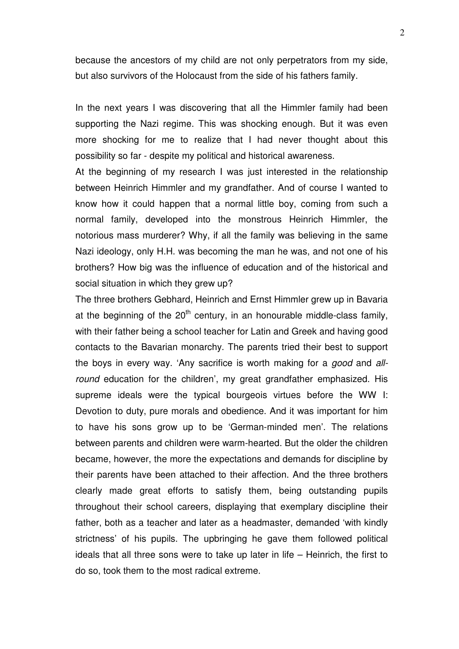because the ancestors of my child are not only perpetrators from my side, but also survivors of the Holocaust from the side of his fathers family.

In the next years I was discovering that all the Himmler family had been supporting the Nazi regime. This was shocking enough. But it was even more shocking for me to realize that I had never thought about this possibility so far - despite my political and historical awareness.

At the beginning of my research I was just interested in the relationship between Heinrich Himmler and my grandfather. And of course I wanted to know how it could happen that a normal little boy, coming from such a normal family, developed into the monstrous Heinrich Himmler, the notorious mass murderer? Why, if all the family was believing in the same Nazi ideology, only H.H. was becoming the man he was, and not one of his brothers? How big was the influence of education and of the historical and social situation in which they grew up?

The three brothers Gebhard, Heinrich and Ernst Himmler grew up in Bavaria at the beginning of the  $20<sup>th</sup>$  century, in an honourable middle-class family, with their father being a school teacher for Latin and Greek and having good contacts to the Bavarian monarchy. The parents tried their best to support the boys in every way. 'Any sacrifice is worth making for a *good* and allround education for the children', my great grandfather emphasized. His supreme ideals were the typical bourgeois virtues before the WW I: Devotion to duty, pure morals and obedience. And it was important for him to have his sons grow up to be 'German-minded men'. The relations between parents and children were warm-hearted. But the older the children became, however, the more the expectations and demands for discipline by their parents have been attached to their affection. And the three brothers clearly made great efforts to satisfy them, being outstanding pupils throughout their school careers, displaying that exemplary discipline their father, both as a teacher and later as a headmaster, demanded 'with kindly strictness' of his pupils. The upbringing he gave them followed political ideals that all three sons were to take up later in life – Heinrich, the first to do so, took them to the most radical extreme.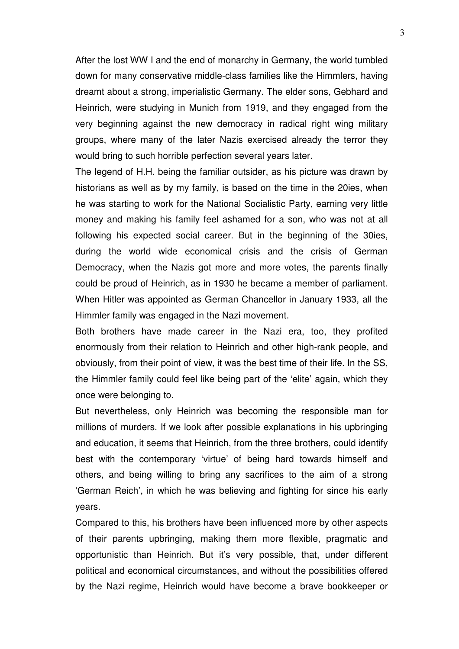After the lost WW I and the end of monarchy in Germany, the world tumbled down for many conservative middle-class families like the Himmlers, having dreamt about a strong, imperialistic Germany. The elder sons, Gebhard and Heinrich, were studying in Munich from 1919, and they engaged from the very beginning against the new democracy in radical right wing military groups, where many of the later Nazis exercised already the terror they would bring to such horrible perfection several years later.

The legend of H.H. being the familiar outsider, as his picture was drawn by historians as well as by my family, is based on the time in the 20ies, when he was starting to work for the National Socialistic Party, earning very little money and making his family feel ashamed for a son, who was not at all following his expected social career. But in the beginning of the 30ies, during the world wide economical crisis and the crisis of German Democracy, when the Nazis got more and more votes, the parents finally could be proud of Heinrich, as in 1930 he became a member of parliament. When Hitler was appointed as German Chancellor in January 1933, all the Himmler family was engaged in the Nazi movement.

Both brothers have made career in the Nazi era, too, they profited enormousIy from their relation to Heinrich and other high-rank people, and obviously, from their point of view, it was the best time of their life. In the SS, the Himmler family could feel like being part of the 'elite' again, which they once were belonging to.

But nevertheless, only Heinrich was becoming the responsible man for millions of murders. If we look after possible explanations in his upbringing and education, it seems that Heinrich, from the three brothers, could identify best with the contemporary 'virtue' of being hard towards himself and others, and being willing to bring any sacrifices to the aim of a strong 'German Reich', in which he was believing and fighting for since his early years.

Compared to this, his brothers have been influenced more by other aspects of their parents upbringing, making them more flexible, pragmatic and opportunistic than Heinrich. But it's very possible, that, under different political and economical circumstances, and without the possibilities offered by the Nazi regime, Heinrich would have become a brave bookkeeper or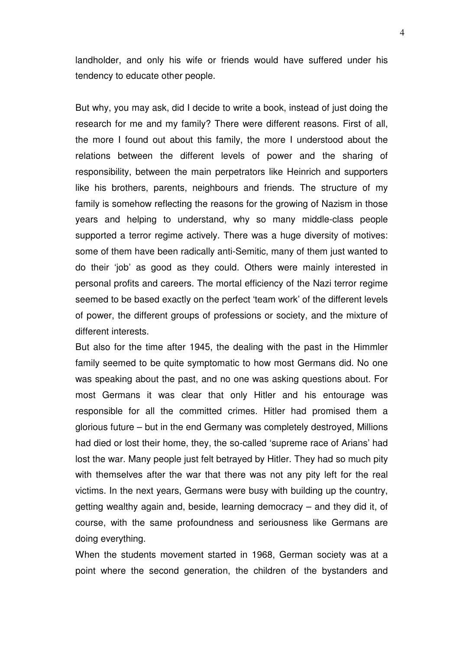landholder, and only his wife or friends would have suffered under his tendency to educate other people.

But why, you may ask, did I decide to write a book, instead of just doing the research for me and my family? There were different reasons. First of all, the more I found out about this family, the more I understood about the relations between the different levels of power and the sharing of responsibility, between the main perpetrators like Heinrich and supporters like his brothers, parents, neighbours and friends. The structure of my family is somehow reflecting the reasons for the growing of Nazism in those years and helping to understand, why so many middle-class people supported a terror regime actively. There was a huge diversity of motives: some of them have been radically anti-Semitic, many of them just wanted to do their 'job' as good as they could. Others were mainly interested in personal profits and careers. The mortal efficiency of the Nazi terror regime seemed to be based exactly on the perfect 'team work' of the different levels of power, the different groups of professions or society, and the mixture of different interests.

But also for the time after 1945, the dealing with the past in the Himmler family seemed to be quite symptomatic to how most Germans did. No one was speaking about the past, and no one was asking questions about. For most Germans it was clear that only Hitler and his entourage was responsible for all the committed crimes. Hitler had promised them a glorious future – but in the end Germany was completely destroyed, Millions had died or lost their home, they, the so-called 'supreme race of Arians' had lost the war. Many people just felt betrayed by Hitler. They had so much pity with themselves after the war that there was not any pity left for the real victims. In the next years, Germans were busy with building up the country, getting wealthy again and, beside, learning democracy – and they did it, of course, with the same profoundness and seriousness like Germans are doing everything.

When the students movement started in 1968, German society was at a point where the second generation, the children of the bystanders and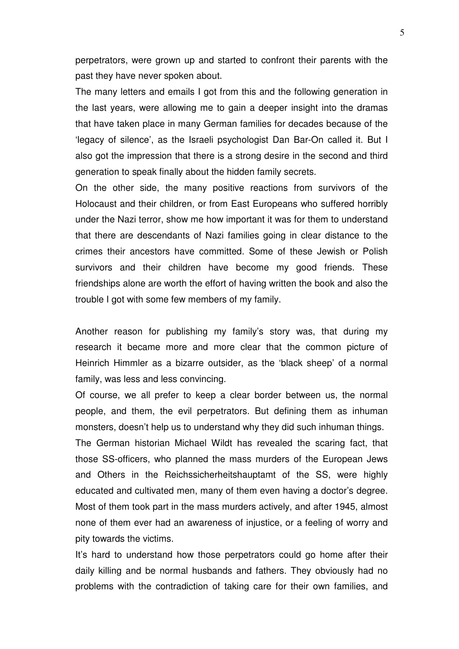perpetrators, were grown up and started to confront their parents with the past they have never spoken about.

The many letters and emails I got from this and the following generation in the last years, were allowing me to gain a deeper insight into the dramas that have taken place in many German families for decades because of the 'legacy of silence', as the Israeli psychologist Dan Bar-On called it. But I also got the impression that there is a strong desire in the second and third generation to speak finally about the hidden family secrets.

On the other side, the many positive reactions from survivors of the Holocaust and their children, or from East Europeans who suffered horribly under the Nazi terror, show me how important it was for them to understand that there are descendants of Nazi families going in clear distance to the crimes their ancestors have committed. Some of these Jewish or Polish survivors and their children have become my good friends. These friendships alone are worth the effort of having written the book and also the trouble I got with some few members of my family.

Another reason for publishing my family's story was, that during my research it became more and more clear that the common picture of Heinrich Himmler as a bizarre outsider, as the 'black sheep' of a normal family, was less and less convincing.

Of course, we all prefer to keep a clear border between us, the normal people, and them, the evil perpetrators. But defining them as inhuman monsters, doesn't help us to understand why they did such inhuman things. The German historian Michael Wildt has revealed the scaring fact, that those SS-officers, who planned the mass murders of the European Jews and Others in the Reichssicherheitshauptamt of the SS, were highly educated and cultivated men, many of them even having a doctor's degree. Most of them took part in the mass murders actively, and after 1945, almost none of them ever had an awareness of injustice, or a feeling of worry and pity towards the victims.

It's hard to understand how those perpetrators could go home after their daily killing and be normal husbands and fathers. They obviously had no problems with the contradiction of taking care for their own families, and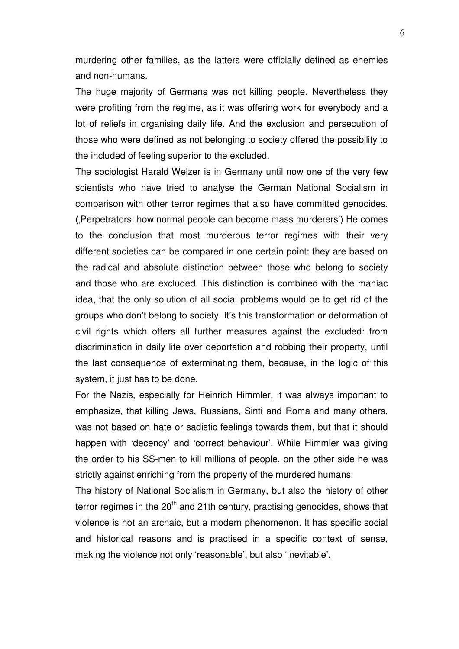murdering other families, as the latters were officially defined as enemies and non-humans.

The huge majority of Germans was not killing people. Nevertheless they were profiting from the regime, as it was offering work for everybody and a lot of reliefs in organising daily life. And the exclusion and persecution of those who were defined as not belonging to society offered the possibility to the included of feeling superior to the excluded.

The sociologist Harald Welzer is in Germany until now one of the very few scientists who have tried to analyse the German National Socialism in comparison with other terror regimes that also have committed genocides. ('Perpetrators: how normal people can become mass murderers') He comes to the conclusion that most murderous terror regimes with their very different societies can be compared in one certain point: they are based on the radical and absolute distinction between those who belong to society and those who are excluded. This distinction is combined with the maniac idea, that the only solution of all social problems would be to get rid of the groups who don't belong to society. It's this transformation or deformation of civil rights which offers all further measures against the excluded: from discrimination in daily life over deportation and robbing their property, until the last consequence of exterminating them, because, in the logic of this system, it just has to be done.

For the Nazis, especially for Heinrich Himmler, it was always important to emphasize, that killing Jews, Russians, Sinti and Roma and many others, was not based on hate or sadistic feelings towards them, but that it should happen with 'decency' and 'correct behaviour'. While Himmler was giving the order to his SS-men to kill millions of people, on the other side he was strictly against enriching from the property of the murdered humans.

The history of National Socialism in Germany, but also the history of other terror regimes in the  $20<sup>th</sup>$  and 21th century, practising genocides, shows that violence is not an archaic, but a modern phenomenon. It has specific social and historical reasons and is practised in a specific context of sense, making the violence not only 'reasonable', but also 'inevitable'.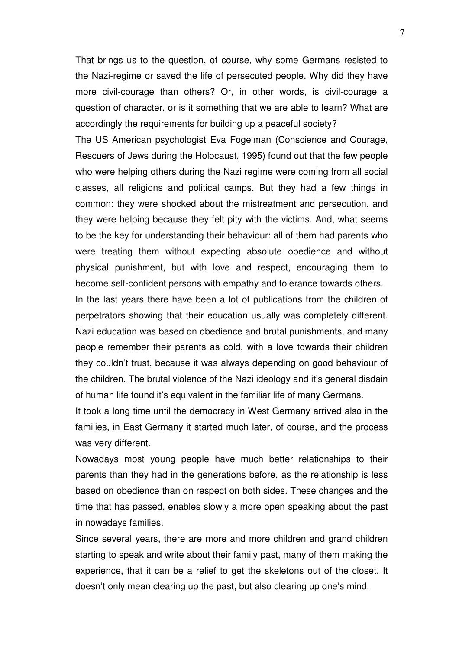That brings us to the question, of course, why some Germans resisted to the Nazi-regime or saved the life of persecuted people. Why did they have more civil-courage than others? Or, in other words, is civil-courage a question of character, or is it something that we are able to learn? What are accordingly the requirements for building up a peaceful society?

The US American psychologist Eva Fogelman (Conscience and Courage, Rescuers of Jews during the Holocaust, 1995) found out that the few people who were helping others during the Nazi regime were coming from all social classes, all religions and political camps. But they had a few things in common: they were shocked about the mistreatment and persecution, and they were helping because they felt pity with the victims. And, what seems to be the key for understanding their behaviour: all of them had parents who were treating them without expecting absolute obedience and without physical punishment, but with love and respect, encouraging them to become self-confident persons with empathy and tolerance towards others.

In the last years there have been a lot of publications from the children of perpetrators showing that their education usually was completely different. Nazi education was based on obedience and brutal punishments, and many people remember their parents as cold, with a love towards their children they couldn't trust, because it was always depending on good behaviour of the children. The brutal violence of the Nazi ideology and it's general disdain of human life found it's equivalent in the familiar life of many Germans.

It took a long time until the democracy in West Germany arrived also in the families, in East Germany it started much later, of course, and the process was very different.

Nowadays most young people have much better relationships to their parents than they had in the generations before, as the relationship is less based on obedience than on respect on both sides. These changes and the time that has passed, enables slowly a more open speaking about the past in nowadays families.

Since several years, there are more and more children and grand children starting to speak and write about their family past, many of them making the experience, that it can be a relief to get the skeletons out of the closet. It doesn't only mean clearing up the past, but also clearing up one's mind.